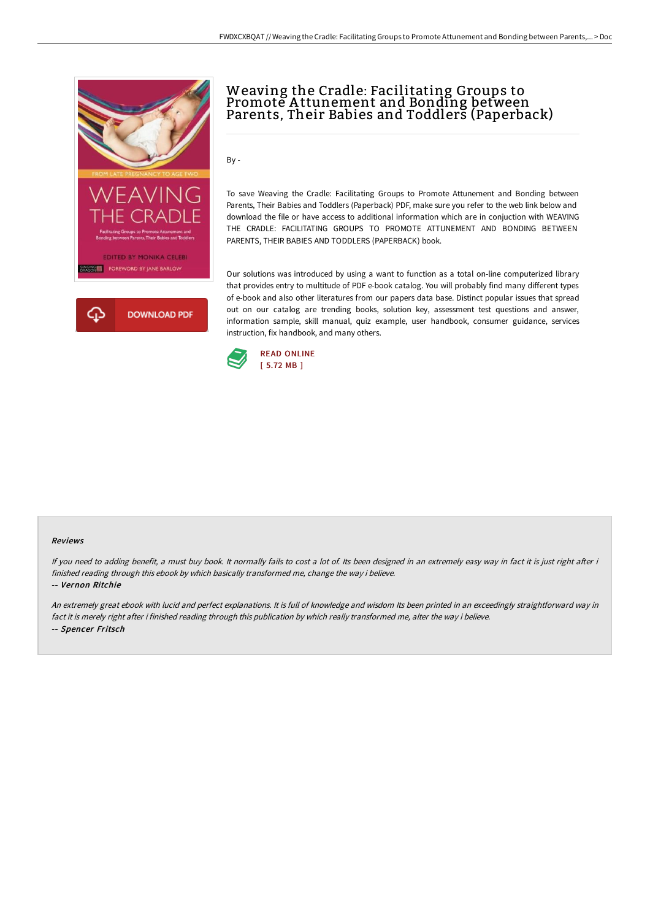



# Weaving the Cradle: Facilitating Groups to Promote A ttunement and Bonding between Parents, Their Babies and Toddlers (Paperback)

By -

To save Weaving the Cradle: Facilitating Groups to Promote Attunement and Bonding between Parents, Their Babies and Toddlers (Paperback) PDF, make sure you refer to the web link below and download the file or have access to additional information which are in conjuction with WEAVING THE CRADLE: FACILITATING GROUPS TO PROMOTE ATTUNEMENT AND BONDING BETWEEN PARENTS, THEIR BABIES AND TODDLERS (PAPERBACK) book.

Our solutions was introduced by using a want to function as a total on-line computerized library that provides entry to multitude of PDF e-book catalog. You will probably find many different types of e-book and also other literatures from our papers data base. Distinct popular issues that spread out on our catalog are trending books, solution key, assessment test questions and answer, information sample, skill manual, quiz example, user handbook, consumer guidance, services instruction, fix handbook, and many others.



#### Reviews

If you need to adding benefit, a must buy book. It normally fails to cost a lot of. Its been designed in an extremely easy way in fact it is just right after i finished reading through this ebook by which basically transformed me, change the way i believe.

-- Vernon Ritchie

An extremely great ebook with lucid and perfect explanations. It is full of knowledge and wisdom Its been printed in an exceedingly straightforward way in fact it is merely right after i finished reading through this publication by which really transformed me, alter the way i believe. -- Spencer Fritsch